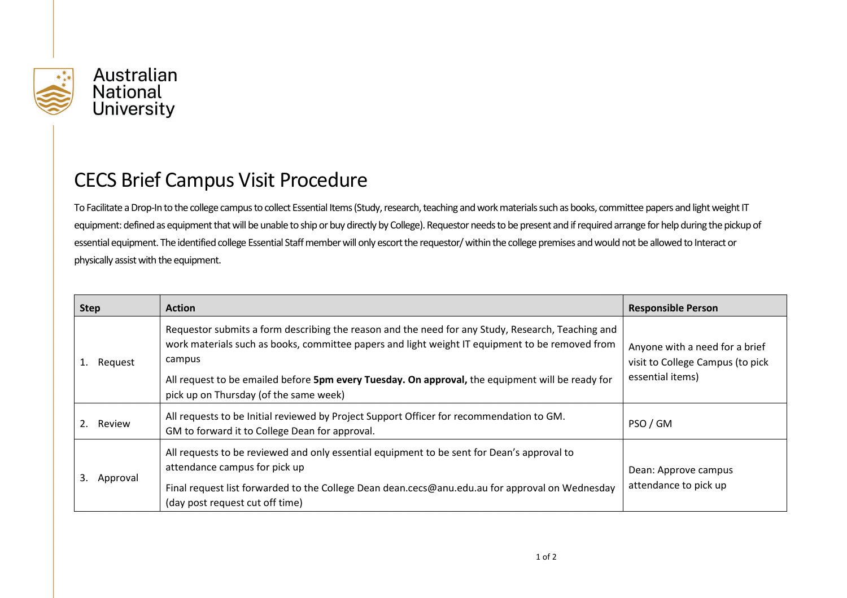

## CECS Brief Campus Visit Procedure

To Facilitate a Drop-In to the college campus to collect Essential Items (Study, research, teaching and work materials such as books, committee papers and light weight IT equipment: defined as equipment that will be unable to ship or buy directly by College). Requestor needs to be present and if required arrange for help during the pickup of essential equipment. The identified college Essential Staff member will only escort the requestor/ within the college premises and would not be allowed to Interact or physically assist with the equipment.

| <b>Step</b>    | <b>Action</b>                                                                                                                                                                                                                                                                                                                                                | <b>Responsible Person</b>                                                              |
|----------------|--------------------------------------------------------------------------------------------------------------------------------------------------------------------------------------------------------------------------------------------------------------------------------------------------------------------------------------------------------------|----------------------------------------------------------------------------------------|
| Request        | Requestor submits a form describing the reason and the need for any Study, Research, Teaching and<br>work materials such as books, committee papers and light weight IT equipment to be removed from<br>campus<br>All request to be emailed before 5pm every Tuesday. On approval, the equipment will be ready for<br>pick up on Thursday (of the same week) | Anyone with a need for a brief<br>visit to College Campus (to pick<br>essential items) |
| Review<br>2.   | All requests to be Initial reviewed by Project Support Officer for recommendation to GM.<br>GM to forward it to College Dean for approval.                                                                                                                                                                                                                   | PSO / GM                                                                               |
| 3.<br>Approval | All requests to be reviewed and only essential equipment to be sent for Dean's approval to<br>attendance campus for pick up<br>Final request list forwarded to the College Dean dean.cecs@anu.edu.au for approval on Wednesday<br>(day post request cut off time)                                                                                            | Dean: Approve campus<br>attendance to pick up                                          |